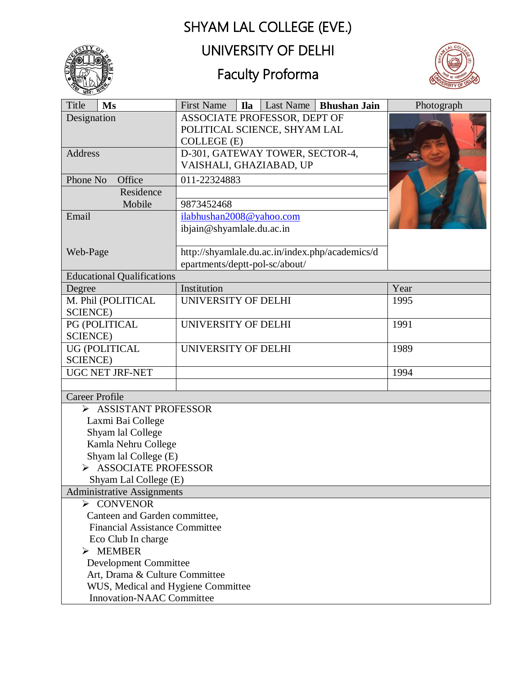## SHYAM LAL COLLEGE (EVE.)



## UNIVERSITY OF DELHI

# Faculty Proforma



| Title<br>Ms                                                | <b>First Name</b>                | <b>Ila</b>                                                                  | Last Name | <b>Bhushan Jain</b> | Photograph |  |
|------------------------------------------------------------|----------------------------------|-----------------------------------------------------------------------------|-----------|---------------------|------------|--|
| Designation                                                |                                  | ASSOCIATE PROFESSOR, DEPT OF<br>POLITICAL SCIENCE, SHYAM LAL<br>COLLEGE (E) |           |                     |            |  |
| Address                                                    |                                  | D-301, GATEWAY TOWER, SECTOR-4,<br>VAISHALI, GHAZIABAD, UP                  |           |                     |            |  |
| Phone No<br>Office                                         |                                  | 011-22324883                                                                |           |                     |            |  |
|                                                            | Residence                        |                                                                             |           |                     |            |  |
| Mobile                                                     |                                  | 9873452468                                                                  |           |                     |            |  |
| Email                                                      |                                  | ilabhushan2008@yahoo.com<br>ibjain@shyamlale.du.ac.in                       |           |                     |            |  |
| Web-Page                                                   |                                  | http://shyamlale.du.ac.in/index.php/academics/d                             |           |                     |            |  |
|                                                            |                                  | epartments/deptt-pol-sc/about/                                              |           |                     |            |  |
| <b>Educational Qualifications</b>                          |                                  |                                                                             |           |                     |            |  |
| Degree                                                     | Institution                      |                                                                             |           |                     | Year       |  |
| M. Phil (POLITICAL                                         |                                  | UNIVERSITY OF DELHI                                                         |           |                     | 1995       |  |
| <b>SCIENCE</b> )                                           |                                  |                                                                             |           |                     |            |  |
| PG (POLITICAL                                              |                                  | UNIVERSITY OF DELHI                                                         |           |                     | 1991       |  |
| <b>SCIENCE</b> )                                           |                                  |                                                                             |           |                     |            |  |
| UG (POLITICAL<br><b>SCIENCE</b> )                          |                                  | UNIVERSITY OF DELHI                                                         |           |                     | 1989       |  |
| <b>UGC NET JRF-NET</b>                                     |                                  |                                                                             |           |                     | 1994       |  |
|                                                            |                                  |                                                                             |           |                     |            |  |
| <b>Career Profile</b>                                      |                                  |                                                                             |           |                     |            |  |
| > ASSISTANT PROFESSOR                                      |                                  |                                                                             |           |                     |            |  |
| Laxmi Bai College                                          |                                  |                                                                             |           |                     |            |  |
| Shyam lal College                                          |                                  |                                                                             |           |                     |            |  |
| Kamla Nehru College                                        |                                  |                                                                             |           |                     |            |  |
| Shyam lal College (E)                                      |                                  |                                                                             |           |                     |            |  |
| > ASSOCIATE PROFESSOR                                      |                                  |                                                                             |           |                     |            |  |
| Shyam Lal College (E)                                      |                                  |                                                                             |           |                     |            |  |
| <b>Administrative Assignments</b>                          |                                  |                                                                             |           |                     |            |  |
| $\triangleright$ CONVENOR<br>Canteen and Garden committee, |                                  |                                                                             |           |                     |            |  |
| <b>Financial Assistance Committee</b>                      |                                  |                                                                             |           |                     |            |  |
| Eco Club In charge                                         |                                  |                                                                             |           |                     |            |  |
| $\triangleright$ MEMBER                                    |                                  |                                                                             |           |                     |            |  |
| Development Committee                                      |                                  |                                                                             |           |                     |            |  |
| Art, Drama & Culture Committee                             |                                  |                                                                             |           |                     |            |  |
| WUS, Medical and Hygiene Committee                         |                                  |                                                                             |           |                     |            |  |
|                                                            | <b>Innovation-NAAC Committee</b> |                                                                             |           |                     |            |  |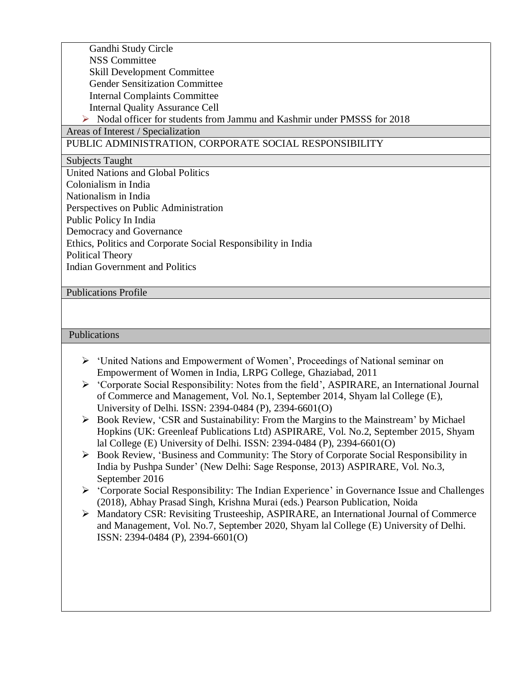| Gandhi Study Circle                                                    |
|------------------------------------------------------------------------|
| <b>NSS Committee</b>                                                   |
| <b>Skill Development Committee</b>                                     |
| <b>Gender Sensitization Committee</b>                                  |
| <b>Internal Complaints Committee</b>                                   |
| <b>Internal Quality Assurance Cell</b>                                 |
| Nodal officer for students from Jammu and Kashmir under PMSSS for 2018 |
| Areas of Interest / Specialization                                     |
| PUBLIC ADMINISTRATION, CORPORATE SOCIAL RESPONSIBILITY                 |
| <b>Subjects Taught</b>                                                 |
| United Nations and Global Politics                                     |
| Colonialism in India                                                   |
| Nationalism in India                                                   |
| Perspectives on Public Administration                                  |
| Public Policy In India                                                 |
| Democracy and Governance                                               |
| Ethics, Politics and Corporate Social Responsibility in India          |
| Political Theory                                                       |
| <b>Indian Government and Politics</b>                                  |

### Publications Profile

### Publications

- 'United Nations and Empowerment of Women', Proceedings of National seminar on Empowerment of Women in India, LRPG College, Ghaziabad, 2011
- 'Corporate Social Responsibility: Notes from the field', ASPIRARE, an International Journal of Commerce and Management, Vol. No.1, September 2014, Shyam lal College (E), University of Delhi. ISSN: 2394-0484 (P), 2394-6601(O)
- Book Review, 'CSR and Sustainability: From the Margins to the Mainstream' by Michael Hopkins (UK: Greenleaf Publications Ltd) ASPIRARE, Vol. No.2, September 2015, Shyam lal College (E) University of Delhi. ISSN: 2394-0484 (P), 2394-6601(O)
- Book Review, 'Business and Community: The Story of Corporate Social Responsibility in India by Pushpa Sunder' (New Delhi: Sage Response, 2013) ASPIRARE, Vol. No.3, September 2016
- 'Corporate Social Responsibility: The Indian Experience' in Governance Issue and Challenges (2018), Abhay Prasad Singh, Krishna Murai (eds.) Pearson Publication, Noida
- Mandatory CSR: Revisiting Trusteeship, ASPIRARE, an International Journal of Commerce and Management, Vol. No.7, September 2020, Shyam lal College (E) University of Delhi. ISSN: 2394-0484 (P), 2394-6601(O)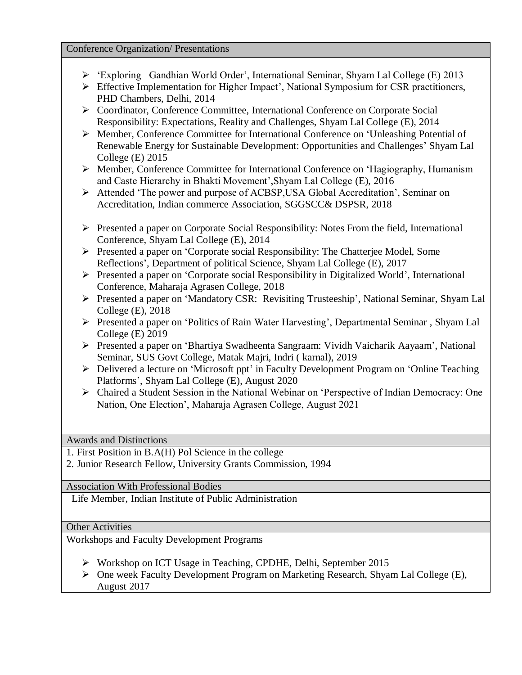#### Conference Organization/ Presentations

- 'Exploring Gandhian World Order', International Seminar, Shyam Lal College (E) 2013
- $\triangleright$  Effective Implementation for Higher Impact', National Symposium for CSR practitioners, PHD Chambers, Delhi, 2014
- Coordinator, Conference Committee, International Conference on Corporate Social Responsibility: Expectations, Reality and Challenges, Shyam Lal College (E), 2014
- Member, Conference Committee for International Conference on 'Unleashing Potential of Renewable Energy for Sustainable Development: Opportunities and Challenges' Shyam Lal College (E) 2015
- $\triangleright$  Member, Conference Committee for International Conference on 'Hagiography, Humanism' and Caste Hierarchy in Bhakti Movement',Shyam Lal College (E), 2016
- Attended 'The power and purpose of ACBSP,USA Global Accreditation', Seminar on Accreditation, Indian commerce Association, SGGSCC& DSPSR, 2018
- $\triangleright$  Presented a paper on Corporate Social Responsibility: Notes From the field, International Conference, Shyam Lal College (E), 2014
- Presented a paper on 'Corporate social Responsibility: The Chatterjee Model, Some Reflections', Department of political Science, Shyam Lal College (E), 2017
- $\triangleright$  Presented a paper on 'Corporate social Responsibility in Digitalized World', International Conference, Maharaja Agrasen College, 2018
- Presented a paper on 'Mandatory CSR: Revisiting Trusteeship', National Seminar, Shyam Lal College (E), 2018
- Presented a paper on 'Politics of Rain Water Harvesting', Departmental Seminar , Shyam Lal College (E) 2019
- Presented a paper on 'Bhartiya Swadheenta Sangraam: Vividh Vaicharik Aayaam', National Seminar, SUS Govt College, Matak Majri, Indri ( karnal), 2019
- Delivered a lecture on 'Microsoft ppt' in Faculty Development Program on 'Online Teaching Platforms', Shyam Lal College (E), August 2020
- Chaired a Student Session in the National Webinar on 'Perspective of Indian Democracy: One Nation, One Election', Maharaja Agrasen College, August 2021

Awards and Distinctions

1. First Position in B.A(H) Pol Science in the college

2. Junior Research Fellow, University Grants Commission, 1994

Association With Professional Bodies

Life Member, Indian Institute of Public Administration

### Other Activities

Workshops and Faculty Development Programs

- Workshop on ICT Usage in Teaching, CPDHE, Delhi, September 2015
- One week Faculty Development Program on Marketing Research, Shyam Lal College (E), August 2017